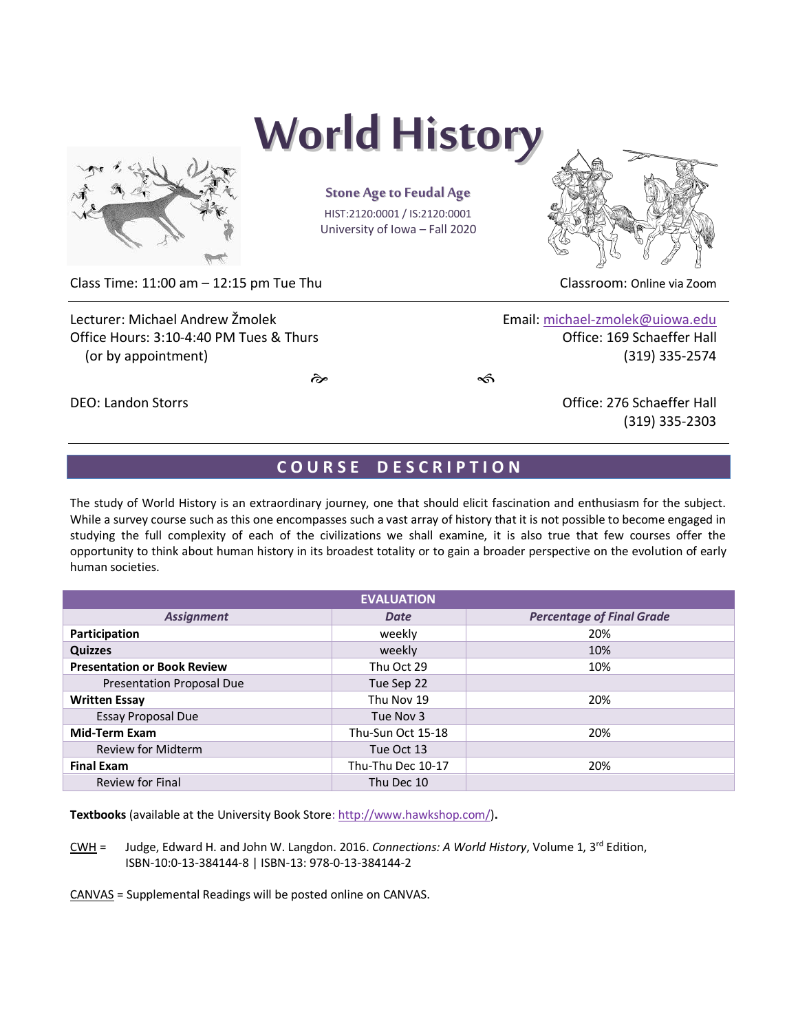

# **World History**

**Stone Age to Feudal Age** HIST:2120:0001 / IS:2120:0001 University of Iowa – Fall 2020



Class Time: 11:00 am – 12:15 pm Tue Thu Classroom: Online via Zoom

Lecturer: Michael Andrew Žmolek **Email:** [michael-zmolek@uiowa.edu](mailto:michael-zmolek@uiowa.edu) Office Hours: 3:10-4:40 PM Tues & Thurs Communication Control office: 169 Schaeffer Hall (or by appointment) (319) 335-2574

 $\hat{\mathscr{C}}$ 

# DEO: Landon Storrs Office: 276 Schaeffer Hall (319) 335-2303

# **C O U R S E D E S C R I P T I O N**

The study of World History is an extraordinary journey, one that should elicit fascination and enthusiasm for the subject. While a survey course such as this one encompasses such a vast array of history that it is not possible to become engaged in studying the full complexity of each of the civilizations we shall examine, it is also true that few courses offer the opportunity to think about human history in its broadest totality or to gain a broader perspective on the evolution of early human societies.

| <b>EVALUATION</b>                  |                   |                                  |  |  |  |
|------------------------------------|-------------------|----------------------------------|--|--|--|
| <b>Assignment</b>                  | Date              | <b>Percentage of Final Grade</b> |  |  |  |
| Participation                      | weekly            | 20%                              |  |  |  |
| <b>Quizzes</b>                     | weekly            | 10%                              |  |  |  |
| <b>Presentation or Book Review</b> | Thu Oct 29        | 10%                              |  |  |  |
| <b>Presentation Proposal Due</b>   | Tue Sep 22        |                                  |  |  |  |
| <b>Written Essay</b>               | Thu Nov 19        | 20%                              |  |  |  |
| Essay Proposal Due                 | Tue Nov 3         |                                  |  |  |  |
| <b>Mid-Term Exam</b>               | Thu-Sun Oct 15-18 | 20%                              |  |  |  |
| <b>Review for Midterm</b>          | Tue Oct 13        |                                  |  |  |  |
| <b>Final Exam</b>                  | Thu-Thu Dec 10-17 | 20%                              |  |  |  |
| Review for Final                   | Thu Dec 10        |                                  |  |  |  |

**Textbooks** (available at the University Book Store[: http://www.hawkshop.com/\)](http://www.hawkshop.com/)**.** 

CWH = Judge, Edward H. and John W. Langdon. 2016. *Connections: A World History*, Volume 1, 3rd Edition, ISBN-10:0-13-384144-8 | ISBN-13: 978-0-13-384144-2

CANVAS = Supplemental Readings will be posted online on CANVAS.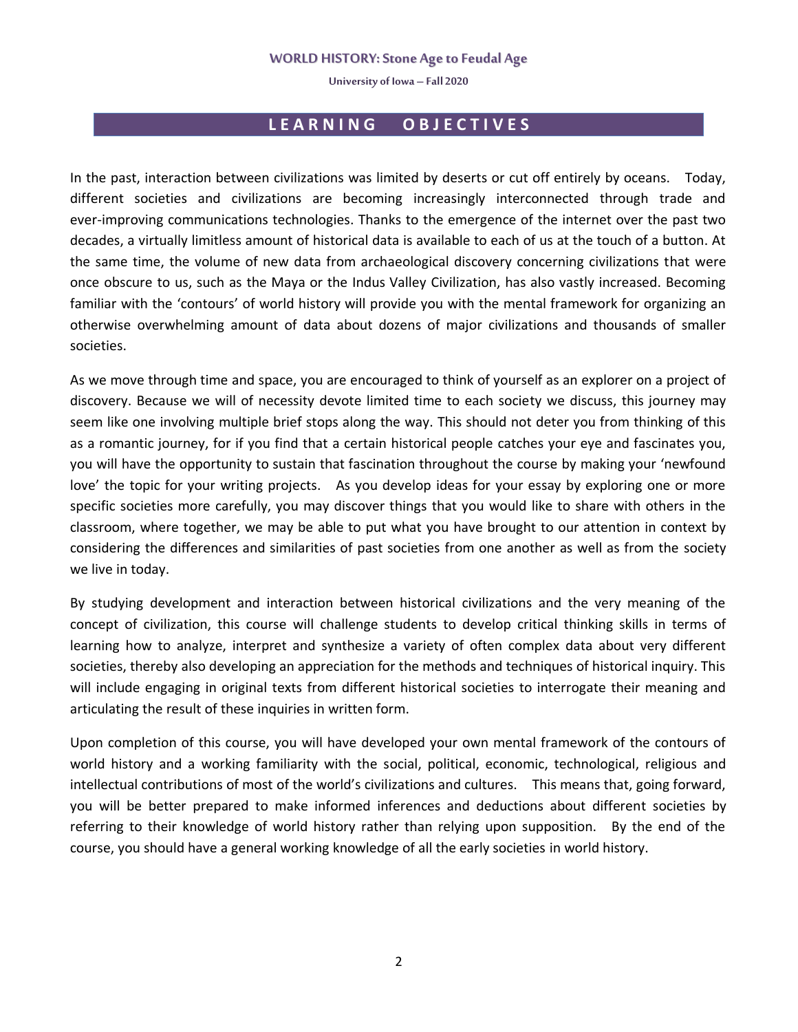**University of Iowa – Fall 2020**

# **L E A R N I N G O B J E C T I V E S**

In the past, interaction between civilizations was limited by deserts or cut off entirely by oceans. Today, different societies and civilizations are becoming increasingly interconnected through trade and ever-improving communications technologies. Thanks to the emergence of the internet over the past two decades, a virtually limitless amount of historical data is available to each of us at the touch of a button. At the same time, the volume of new data from archaeological discovery concerning civilizations that were once obscure to us, such as the Maya or the Indus Valley Civilization, has also vastly increased. Becoming familiar with the 'contours' of world history will provide you with the mental framework for organizing an otherwise overwhelming amount of data about dozens of major civilizations and thousands of smaller societies.

As we move through time and space, you are encouraged to think of yourself as an explorer on a project of discovery. Because we will of necessity devote limited time to each society we discuss, this journey may seem like one involving multiple brief stops along the way. This should not deter you from thinking of this as a romantic journey, for if you find that a certain historical people catches your eye and fascinates you, you will have the opportunity to sustain that fascination throughout the course by making your 'newfound love' the topic for your writing projects. As you develop ideas for your essay by exploring one or more specific societies more carefully, you may discover things that you would like to share with others in the classroom, where together, we may be able to put what you have brought to our attention in context by considering the differences and similarities of past societies from one another as well as from the society we live in today.

By studying development and interaction between historical civilizations and the very meaning of the concept of civilization, this course will challenge students to develop critical thinking skills in terms of learning how to analyze, interpret and synthesize a variety of often complex data about very different societies, thereby also developing an appreciation for the methods and techniques of historical inquiry. This will include engaging in original texts from different historical societies to interrogate their meaning and articulating the result of these inquiries in written form.

Upon completion of this course, you will have developed your own mental framework of the contours of world history and a working familiarity with the social, political, economic, technological, religious and intellectual contributions of most of the world's civilizations and cultures. This means that, going forward, you will be better prepared to make informed inferences and deductions about different societies by referring to their knowledge of world history rather than relying upon supposition. By the end of the course, you should have a general working knowledge of all the early societies in world history.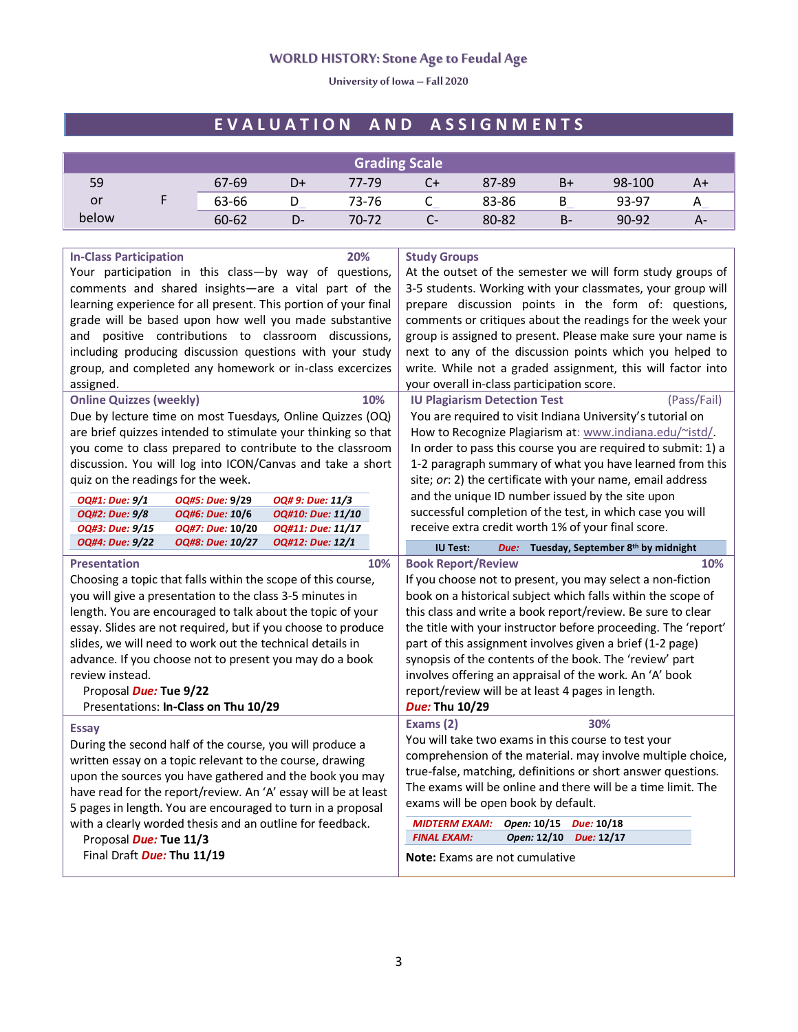**University of Iowa – Fall 2020**

# **E V A L U A T I O N A N D A S S I G N M E N T S**

| <b>Grading Scale</b> |  |       |    |       |    |       |       |        |    |
|----------------------|--|-------|----|-------|----|-------|-------|--------|----|
| 59                   |  | 67-69 | D+ | 77-79 | C+ | 87-89 | B+    | 98-100 | A۰ |
| or                   |  | 63-66 | ◡  | 73-76 | ◡  | 83-86 | В     | 93-97  |    |
| below                |  | 60-62 | D- | 70-72 | Ŀ- | 80-82 | $B -$ | 90-92  | А- |

| 20%<br><b>In-Class Participation</b>                                       | <b>Study Groups</b>                                                                               |  |  |
|----------------------------------------------------------------------------|---------------------------------------------------------------------------------------------------|--|--|
| Your participation in this class-by way of questions,                      | At the outset of the semester we will form study groups of                                        |  |  |
| comments and shared insights-are a vital part of the                       | 3-5 students. Working with your classmates, your group will                                       |  |  |
| learning experience for all present. This portion of your final            | prepare discussion points in the form of: questions,                                              |  |  |
| grade will be based upon how well you made substantive                     | comments or critiques about the readings for the week your                                        |  |  |
| and positive contributions to classroom discussions,                       | group is assigned to present. Please make sure your name is                                       |  |  |
| including producing discussion questions with your study                   | next to any of the discussion points which you helped to                                          |  |  |
| group, and completed any homework or in-class excercizes                   | write. While not a graded assignment, this will factor into                                       |  |  |
| assigned.                                                                  | your overall in-class participation score.                                                        |  |  |
| <b>Online Quizzes (weekly)</b><br>10%                                      | (Pass/Fail)<br><b>IU Plagiarism Detection Test</b>                                                |  |  |
| Due by lecture time on most Tuesdays, Online Quizzes (OQ)                  | You are required to visit Indiana University's tutorial on                                        |  |  |
| are brief quizzes intended to stimulate your thinking so that              | How to Recognize Plagiarism at: www.indiana.edu/~istd/                                            |  |  |
| you come to class prepared to contribute to the classroom                  | In order to pass this course you are required to submit: 1) a                                     |  |  |
| discussion. You will log into ICON/Canvas and take a short                 | 1-2 paragraph summary of what you have learned from this                                          |  |  |
| quiz on the readings for the week.                                         | site; or: 2) the certificate with your name, email address                                        |  |  |
| OQ#1: Due: 9/1<br>OQ#5: Due: 9/29<br>OQ# 9: Due: 11/3                      | and the unique ID number issued by the site upon                                                  |  |  |
| OQ#2: Due: 9/8<br>OQ#6: Due: 10/6<br>OQ#10: Due: 11/10                     | successful completion of the test, in which case you will                                         |  |  |
| OQ#3: Due: 9/15<br>OQ#7: Due: 10/20<br>OQ#11: Due: 11/17                   | receive extra credit worth 1% of your final score.                                                |  |  |
| OQ#4: Due: 9/22<br>OQ#8: Due: 10/27<br>OQ#12: Due: 12/1                    | Due: Tuesday, September 8th by midnight<br><b>IU Test:</b>                                        |  |  |
| <b>Presentation</b><br>10%                                                 | 10%<br><b>Book Report/Review</b>                                                                  |  |  |
| Choosing a topic that falls within the scope of this course,               | If you choose not to present, you may select a non-fiction                                        |  |  |
| you will give a presentation to the class 3-5 minutes in                   | book on a historical subject which falls within the scope of                                      |  |  |
| length. You are encouraged to talk about the topic of your                 | this class and write a book report/review. Be sure to clear                                       |  |  |
|                                                                            |                                                                                                   |  |  |
|                                                                            |                                                                                                   |  |  |
| essay. Slides are not required, but if you choose to produce               | the title with your instructor before proceeding. The 'report'                                    |  |  |
| slides, we will need to work out the technical details in                  | part of this assignment involves given a brief (1-2 page)                                         |  |  |
| advance. If you choose not to present you may do a book<br>review instead. | synopsis of the contents of the book. The 'review' part                                           |  |  |
|                                                                            | involves offering an appraisal of the work. An 'A' book                                           |  |  |
| Proposal Due: Tue 9/22<br>Presentations: In-Class on Thu 10/29             | report/review will be at least 4 pages in length.<br>Due: Thu 10/29                               |  |  |
|                                                                            | Exams (2)<br>30%                                                                                  |  |  |
| <b>Essay</b>                                                               | You will take two exams in this course to test your                                               |  |  |
| During the second half of the course, you will produce a                   | comprehension of the material. may involve multiple choice,                                       |  |  |
| written essay on a topic relevant to the course, drawing                   | true-false, matching, definitions or short answer questions.                                      |  |  |
| upon the sources you have gathered and the book you may                    | The exams will be online and there will be a time limit. The                                      |  |  |
| have read for the report/review. An 'A' essay will be at least             | exams will be open book by default.                                                               |  |  |
| 5 pages in length. You are encouraged to turn in a proposal                |                                                                                                   |  |  |
| with a clearly worded thesis and an outline for feedback.                  | Open: 10/15<br>Due: 10/18<br><b>MIDTERM EXAM:</b><br><b>FINAL EXAM:</b><br>Open: 12/10 Due: 12/17 |  |  |
| Proposal Due: Tue 11/3<br>Final Draft Due: Thu 11/19                       | <b>Note:</b> Exams are not cumulative                                                             |  |  |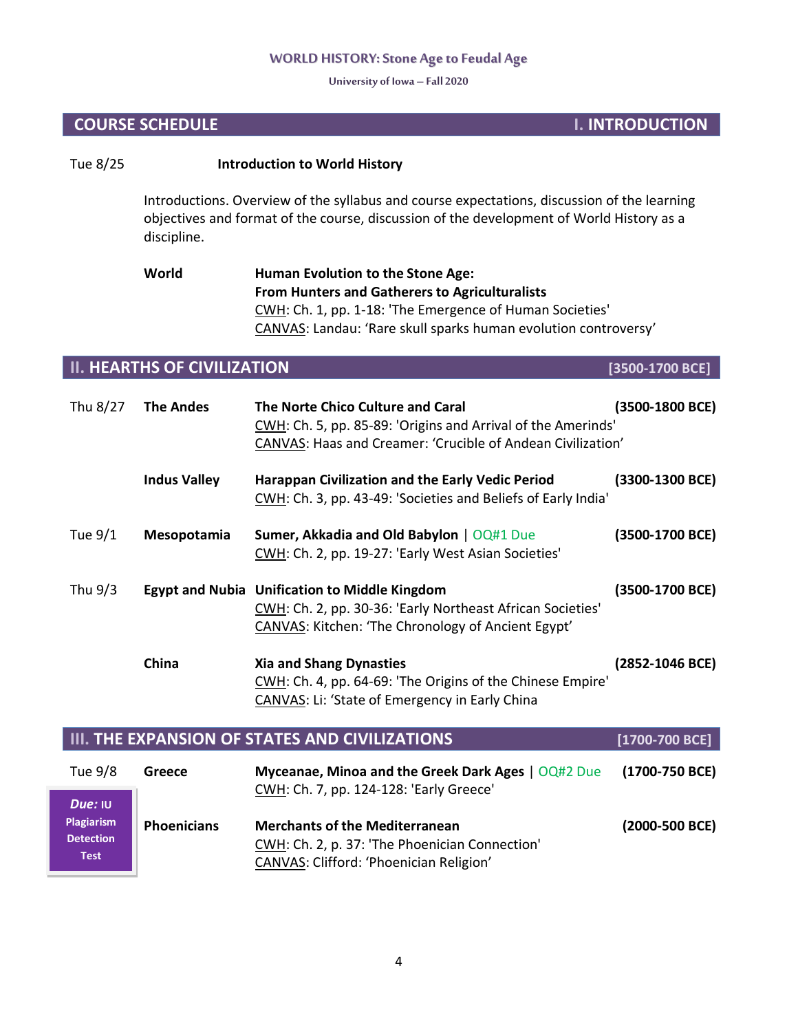**University of Iowa – Fall 2020**

# **COURSE SCHEDULE I. INTRODUCTION**

# Tue 8/25 **Introduction to World History**

Introductions. Overview of the syllabus and course expectations, discussion of the learning objectives and format of the course, discussion of the development of World History as a discipline.

# **World Human Evolution to the Stone Age: From Hunters and Gatherers to Agriculturalists** CWH: Ch. 1, pp. 1-18: 'The Emergence of Human Societies' CANVAS: Landau: 'Rare skull sparks human evolution controversy'

# **II. HEARTHS OF CIVILIZATION [3500-1700 BCE]**

**Test**

| Thu 8/27                                  | <b>The Andes</b>    | The Norte Chico Culture and Caral<br>CWH: Ch. 5, pp. 85-89: 'Origins and Arrival of the Amerinds'<br>CANVAS: Haas and Creamer: 'Crucible of Andean Civilization'                                                         | (3500-1800 BCE)            |
|-------------------------------------------|---------------------|--------------------------------------------------------------------------------------------------------------------------------------------------------------------------------------------------------------------------|----------------------------|
|                                           | <b>Indus Valley</b> | Harappan Civilization and the Early Vedic Period<br>CWH: Ch. 3, pp. 43-49: 'Societies and Beliefs of Early India'                                                                                                        | (3300-1300 BCE)            |
| Tue 9/1                                   | Mesopotamia         | Sumer, Akkadia and Old Babylon   OQ#1 Due<br>CWH: Ch. 2, pp. 19-27: 'Early West Asian Societies'                                                                                                                         | (3500-1700 BCE)            |
| Thu 9/3                                   |                     | Egypt and Nubia Unification to Middle Kingdom<br>CWH: Ch. 2, pp. 30-36: 'Early Northeast African Societies'<br><b>CANVAS: Kitchen: 'The Chronology of Ancient Egypt'</b>                                                 | (3500-1700 BCE)            |
|                                           | China               | <b>Xia and Shang Dynasties</b><br>CWH: Ch. 4, pp. 64-69: 'The Origins of the Chinese Empire'<br>CANVAS: Li: 'State of Emergency in Early China                                                                           | (2852-1046 BCE)            |
|                                           |                     | III. THE EXPANSION OF STATES AND CIVILIZATIONS                                                                                                                                                                           | $[1700 - 700 \text{ BCE}]$ |
| Tue 9/8                                   | Greece              | Myceanae, Minoa and the Greek Dark Ages   OQ#2 Due<br>CWH: Ch. 7, pp. 124-128: 'Early Greece'                                                                                                                            | $(1700-750$ BCE)           |
| Due: IU<br>Plagiarism<br><b>Detection</b> | <b>Phoenicians</b>  | <b>Merchants of the Mediterranean</b><br>$C(ML)$ , $C_{\rm k}$ , $C_{\rm k}$ , $C_{\rm k}$ , $C_{\rm k}$ , $C_{\rm k}$ , $C_{\rm k}$ , $C_{\rm k}$ , $C_{\rm k}$ , $C_{\rm k}$ , $C_{\rm k}$ , $C_{\rm k}$ , $C_{\rm k}$ | (2000-500 BCE)             |

CWH: Ch. 2, p. 37: 'The Phoenician Connection'

CANVAS: Clifford: 'Phoenician Religion'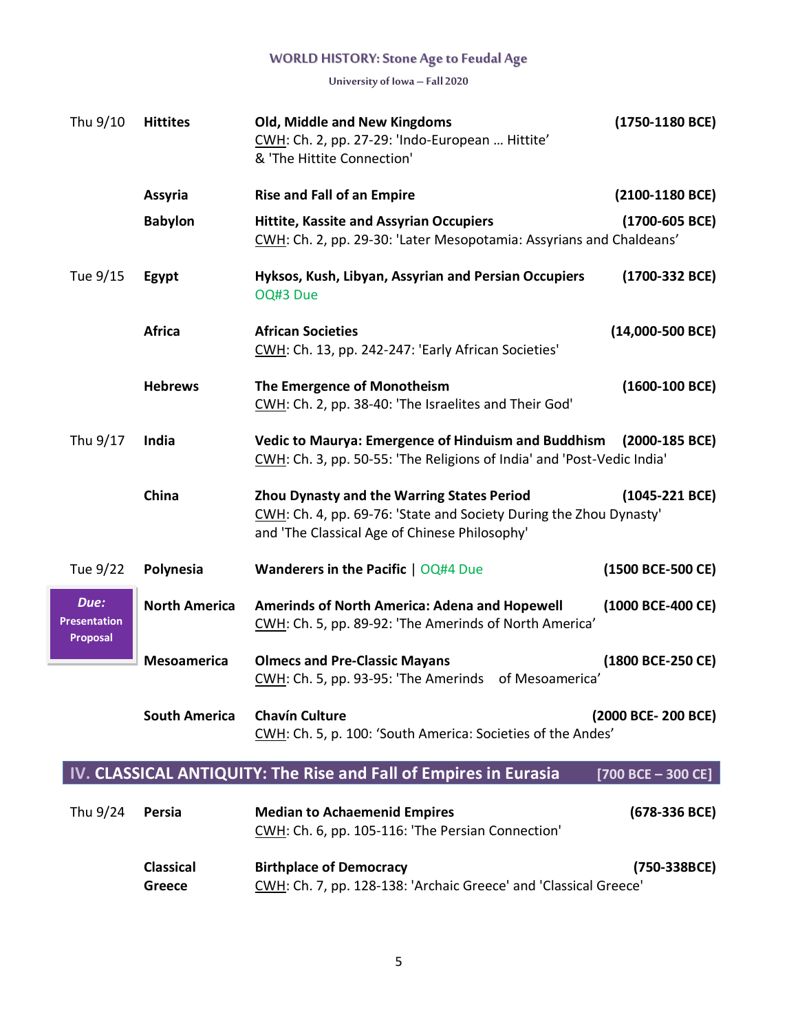**University of Iowa – Fall 2020**

| Thu 9/10                                | <b>Hittites</b>      | Old, Middle and New Kingdoms<br>CWH: Ch. 2, pp. 27-29: 'Indo-European  Hittite'<br>& 'The Hittite Connection'                                                            | (1750-1180 BCE)              |
|-----------------------------------------|----------------------|--------------------------------------------------------------------------------------------------------------------------------------------------------------------------|------------------------------|
|                                         | Assyria              | <b>Rise and Fall of an Empire</b>                                                                                                                                        | (2100-1180 BCE)              |
|                                         | <b>Babylon</b>       | <b>Hittite, Kassite and Assyrian Occupiers</b><br>CWH: Ch. 2, pp. 29-30: 'Later Mesopotamia: Assyrians and Chaldeans'                                                    | $(1700 - 605 \text{ BCE})$   |
| Tue 9/15                                | Egypt                | Hyksos, Kush, Libyan, Assyrian and Persian Occupiers<br>OQ#3 Due                                                                                                         | (1700-332 BCE)               |
|                                         | <b>Africa</b>        | <b>African Societies</b><br>CWH: Ch. 13, pp. 242-247: 'Early African Societies'                                                                                          | $(14,000 - 500 \text{ BCE})$ |
|                                         | <b>Hebrews</b>       | The Emergence of Monotheism<br>CWH: Ch. 2, pp. 38-40: 'The Israelites and Their God'                                                                                     | $(1600-100 \text{ BCE})$     |
| Thu 9/17                                | India                | Vedic to Maurya: Emergence of Hinduism and Buddhism (2000-185 BCE)<br>CWH: Ch. 3, pp. 50-55: 'The Religions of India' and 'Post-Vedic India'                             |                              |
|                                         | China                | <b>Zhou Dynasty and the Warring States Period</b><br>CWH: Ch. 4, pp. 69-76: 'State and Society During the Zhou Dynasty'<br>and 'The Classical Age of Chinese Philosophy' | $(1045-221 \text{ BCE})$     |
| Tue 9/22                                | Polynesia            | <b>Wanderers in the Pacific   OQ#4 Due</b>                                                                                                                               | (1500 BCE-500 CE)            |
| Due:<br><b>Presentation</b><br>Proposal | <b>North America</b> | <b>Amerinds of North America: Adena and Hopewell</b><br>CWH: Ch. 5, pp. 89-92: 'The Amerinds of North America'                                                           | (1000 BCE-400 CE)            |
|                                         | <b>Mesoamerica</b>   | <b>Olmecs and Pre-Classic Mayans</b><br>CWH: Ch. 5, pp. 93-95: 'The Amerinds of Mesoamerica'                                                                             | (1800 BCE-250 CE)            |
|                                         | <b>South America</b> | <b>Chavín Culture</b><br>CWH: Ch. 5, p. 100: 'South America: Societies of the Andes'                                                                                     | (2000 BCE- 200 BCE)          |
|                                         |                      | IV. CLASSICAL ANTIQUITY: The Rise and Fall of Empires in Eurasia                                                                                                         | $[700$ BCE - 300 CE]         |
| Thu 9/24                                | Persia               | <b>Median to Achaemenid Empires</b><br>CWH: Ch. 6, pp. 105-116: 'The Persian Connection'                                                                                 | $(678-336$ BCE)              |

**Classical Birthplace of Democracy (750-338BCE)** Greece CWH: Ch. 7, pp. 128-138: 'Archaic Greece' and 'Classical Greece'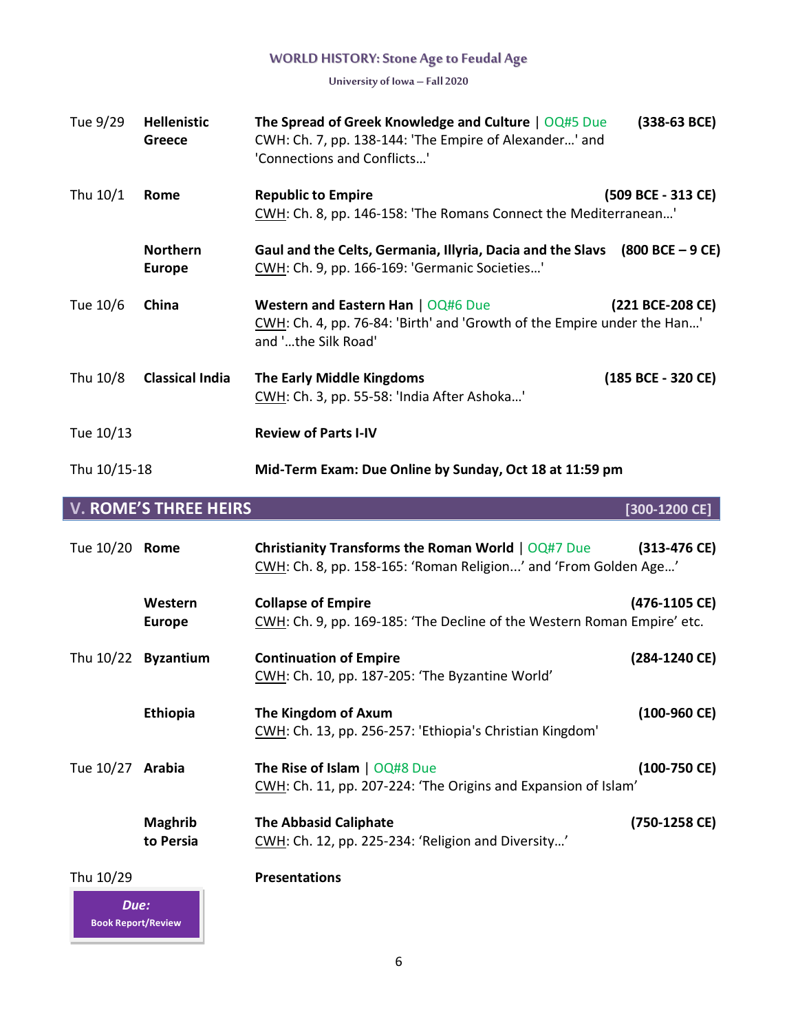**University of Iowa – Fall 2020**

| Tue 9/29       | <b>Hellenistic</b><br><b>Greece</b> | The Spread of Greek Knowledge and Culture   OQ#5 Due<br>CWH: Ch. 7, pp. 138-144: 'The Empire of Alexander' and<br>'Connections and Conflicts' | $(338-63 \text{ BCE})$ |
|----------------|-------------------------------------|-----------------------------------------------------------------------------------------------------------------------------------------------|------------------------|
| Thu 10/1       | Rome                                | <b>Republic to Empire</b><br>CWH: Ch. 8, pp. 146-158: 'The Romans Connect the Mediterranean'                                                  | (509 BCE - 313 CE)     |
|                | <b>Northern</b><br><b>Europe</b>    | Gaul and the Celts, Germania, Illyria, Dacia and the Slavs (800 BCE - 9 CE)<br>CWH: Ch. 9, pp. 166-169: 'Germanic Societies'                  |                        |
| Tue 10/6       | China                               | Western and Eastern Han   OQ#6 Due<br>CWH: Ch. 4, pp. 76-84: 'Birth' and 'Growth of the Empire under the Han'<br>and 'the Silk Road'          | (221 BCE-208 CE)       |
| Thu 10/8       | <b>Classical India</b>              | <b>The Early Middle Kingdoms</b><br>CWH: Ch. 3, pp. 55-58: 'India After Ashoka'                                                               | (185 BCE - 320 CE)     |
| Tue 10/13      |                                     | <b>Review of Parts I-IV</b>                                                                                                                   |                        |
| Thu 10/15-18   |                                     | Mid-Term Exam: Due Online by Sunday, Oct 18 at 11:59 pm                                                                                       |                        |
|                | <b>V. ROME'S THREE HEIRS</b>        |                                                                                                                                               | $[300-1200$ CE]        |
| Tue 10/20 Rome |                                     | <b>Christianity Transforms the Roman World   OQ#7 Due</b><br>CWH: Ch. 8, pp. 158-165: 'Roman Religion' and 'From Golden Age'                  | $(313-476 \text{ CE})$ |
|                | Western<br><b>Europe</b>            | <b>Collapse of Empire</b><br>CWH: Ch. 9, pp. 169-185: 'The Decline of the Western Roman Empire' etc.                                          | (476-1105 CE)          |
|                | Thu 10/22 Byzantium                 | <b>Continuation of Empire</b><br>CWH: Ch. 10, pp. 187-205: 'The Byzantine World'                                                              | (284-1240 CE)          |
|                | Ethiopia                            | The Kingdom of Axum<br>CWH: Ch. 13, pp. 256-257: 'Ethiopia's Christian Kingdom'                                                               | $(100-960 \text{ CE})$ |

Tue 10/27 **Arabia The Rise of Islam** | OQ#8 Due **(100-750 CE)** CWH: Ch. 11, pp. 207-224: 'The Origins and Expansion of Islam'

> **Maghrib The Abbasid Caliphate (750-1258 CE)** to Persia CWH: Ch. 12, pp. 225-234: 'Religion and Diversity...'

Thu 10/29 **Presentations**

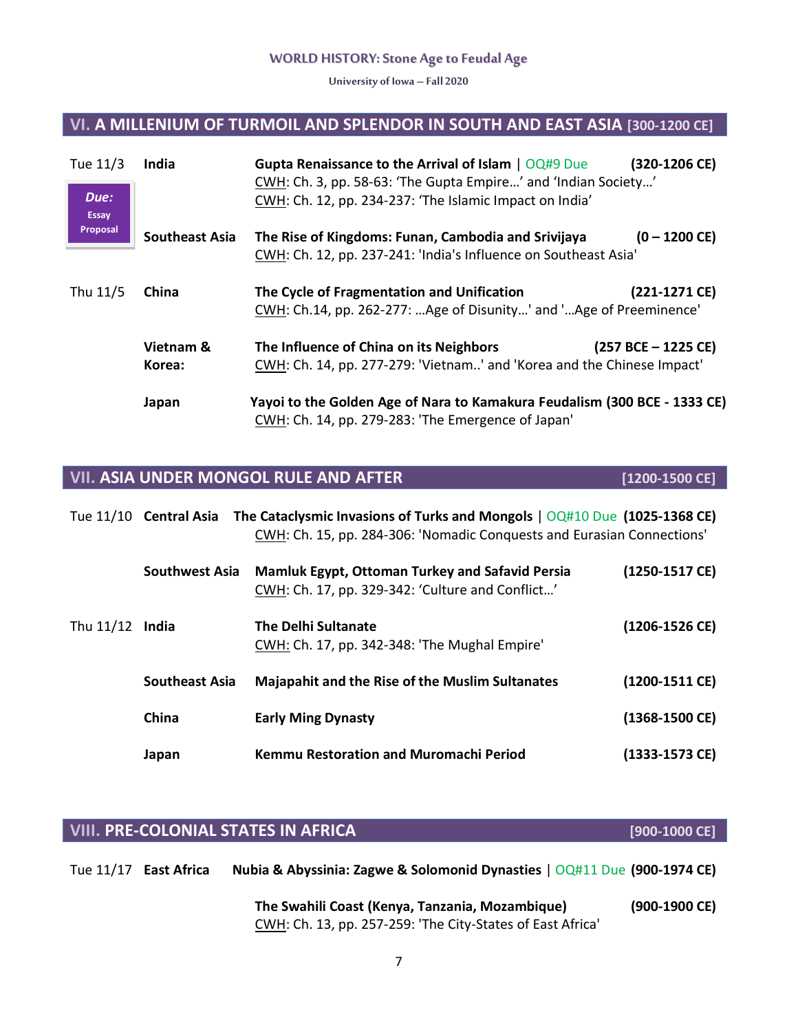**University of Iowa – Fall 2020**

# **VI. A MILLENIUM OF TURMOIL AND SPLENDOR IN SOUTH AND EAST ASIA [300-1200 CE]**

| Tue 11/3             | India                 | <b>Gupta Renaissance to the Arrival of Islam   OQ#9 Due</b><br>CWH: Ch. 3, pp. 58-63: 'The Gupta Empire' and 'Indian Society'   | (320-1206 CE)           |
|----------------------|-----------------------|---------------------------------------------------------------------------------------------------------------------------------|-------------------------|
| Due:<br><b>Essay</b> |                       | CWH: Ch. 12, pp. 234-237: 'The Islamic Impact on India'                                                                         |                         |
| Proposal             | <b>Southeast Asia</b> | The Rise of Kingdoms: Funan, Cambodia and Srivijaya<br>CWH: Ch. 12, pp. 237-241: 'India's Influence on Southeast Asia'          | $(0 - 1200 \text{ CE})$ |
| Thu 11/5             | China                 | The Cycle of Fragmentation and Unification<br>CWH: Ch.14, pp. 262-277: Age of Disunity' and 'Age of Preeminence'                | (221-1271 CE)           |
|                      | Vietnam &<br>Korea:   | The Influence of China on its Neighbors<br>CWH: Ch. 14, pp. 277-279: 'Vietnam' and 'Korea and the Chinese Impact'               | $(257 BCE - 1225 CE)$   |
|                      | Japan                 | Yayoi to the Golden Age of Nara to Kamakura Feudalism (300 BCE - 1333 CE)<br>CWH: Ch. 14, pp. 279-283: 'The Emergence of Japan' |                         |

# **VII. ASIA UNDER MONGOL RULE AND AFTER [1200-1500 CE]**

|                   |                       | Tue 11/10 Central Asia The Cataclysmic Invasions of Turks and Mongols $\vert$ OQ#10 Due (1025-1368 CE)<br>CWH: Ch. 15, pp. 284-306: 'Nomadic Conquests and Eurasian Connections' |                  |
|-------------------|-----------------------|----------------------------------------------------------------------------------------------------------------------------------------------------------------------------------|------------------|
|                   | <b>Southwest Asia</b> | <b>Mamluk Egypt, Ottoman Turkey and Safavid Persia</b><br>CWH: Ch. 17, pp. 329-342: 'Culture and Conflict'                                                                       | (1250-1517 CE)   |
| Thu $11/12$ India |                       | <b>The Delhi Sultanate</b><br>CWH: Ch. 17, pp. 342-348: 'The Mughal Empire'                                                                                                      | (1206-1526 CE)   |
|                   | <b>Southeast Asia</b> | <b>Majapahit and the Rise of the Muslim Sultanates</b>                                                                                                                           | (1200-1511 CE)   |
|                   | China                 | <b>Early Ming Dynasty</b>                                                                                                                                                        | $(1368-1500$ CE) |
|                   | Japan                 | Kemmu Restoration and Muromachi Period                                                                                                                                           | $(1333-1573$ CE) |

# **VIII. PRE-COLONIAL STATES IN AFRICA [900-1000 CE]**

| Tue 11/17 East Africa | Nubia & Abyssinia: Zagwe & Solomonid Dynasties   OQ#11 Due (900-1974 CE) |               |
|-----------------------|--------------------------------------------------------------------------|---------------|
|                       | The Swahili Coast (Kenya, Tanzania, Mozambique)                          | (900-1900 CE) |
|                       | CWH: Ch. 13, pp. 257-259: 'The City-States of East Africa'               |               |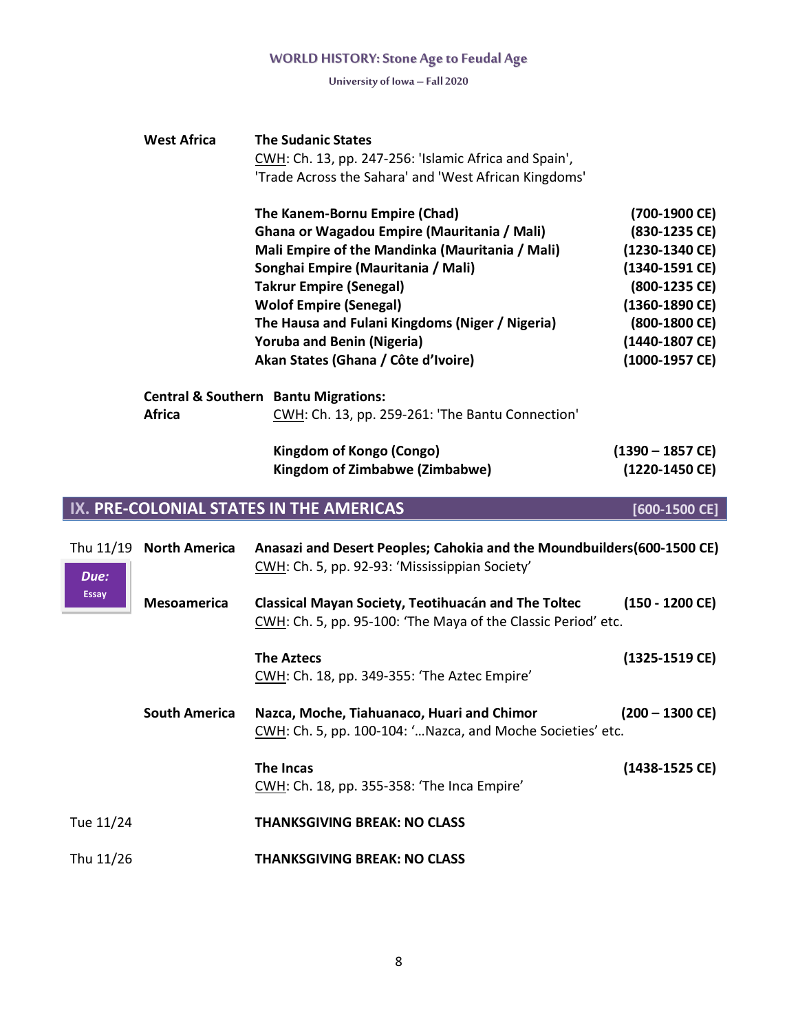**University of Iowa – Fall 2020**

| <b>West Africa</b>                      | <b>The Sudanic States</b>                             |                                 |
|-----------------------------------------|-------------------------------------------------------|---------------------------------|
|                                         | CWH: Ch. 13, pp. 247-256: 'Islamic Africa and Spain', |                                 |
|                                         | 'Trade Across the Sahara' and 'West African Kingdoms' |                                 |
|                                         | The Kanem-Bornu Empire (Chad)                         | (700-1900 CE)                   |
|                                         | Ghana or Wagadou Empire (Mauritania / Mali)           | (830-1235 CE)                   |
|                                         | Mali Empire of the Mandinka (Mauritania / Mali)       | (1230-1340 CE)                  |
|                                         | Songhai Empire (Mauritania / Mali)                    | (1340-1591 CE)                  |
|                                         | <b>Takrur Empire (Senegal)</b>                        | (800-1235 CE)                   |
|                                         | <b>Wolof Empire (Senegal)</b>                         | $(1360-1890 \text{ CE})$        |
|                                         | The Hausa and Fulani Kingdoms (Niger / Nigeria)       | $(800-1800 \text{ } \text{CE})$ |
|                                         | <b>Yoruba and Benin (Nigeria)</b>                     | (1440-1807 CE)                  |
|                                         | Akan States (Ghana / Côte d'Ivoire)                   | (1000-1957 CE)                  |
|                                         | <b>Central &amp; Southern Bantu Migrations:</b>       |                                 |
| <b>Africa</b>                           | CWH: Ch. 13, pp. 259-261: 'The Bantu Connection'      |                                 |
|                                         | Kingdom of Kongo (Congo)                              | $(1390 - 1857 \text{ CE})$      |
|                                         | Kingdom of Zimbabwe (Zimbabwe)                        | (1220-1450 CE)                  |
| IX. PRE-COLONIAL STATES IN THE AMERICAS |                                                       | [600-1500 CE]                   |

|                      | Thu 11/19 North America | Anasazi and Desert Peoples; Cahokia and the Moundbuilders (600-1500 CE)<br>CWH: Ch. 5, pp. 92-93: 'Mississippian Society' |                                  |
|----------------------|-------------------------|---------------------------------------------------------------------------------------------------------------------------|----------------------------------|
| Due:<br><b>Essay</b> | <b>Mesoamerica</b>      | Classical Mayan Society, Teotihuacán and The Toltec<br>CWH: Ch. 5, pp. 95-100: 'The Maya of the Classic Period' etc.      | $(150 - 1200 \text{ CE})$        |
|                      |                         | <b>The Aztecs</b><br>CWH: Ch. 18, pp. 349-355: 'The Aztec Empire'                                                         | $(1325-1519 \text{ } \text{CE})$ |
|                      | <b>South America</b>    | Nazca, Moche, Tiahuanaco, Huari and Chimor<br>CWH: Ch. 5, pp. 100-104: ' Nazca, and Moche Societies' etc.                 | $(200 - 1300 \text{ CE})$        |
|                      |                         | The Incas<br>CWH: Ch. 18, pp. 355-358: 'The Inca Empire'                                                                  | (1438-1525 CE)                   |
| Tue 11/24            |                         | <b>THANKSGIVING BREAK: NO CLASS</b>                                                                                       |                                  |
| Thu 11/26            |                         | <b>THANKSGIVING BREAK: NO CLASS</b>                                                                                       |                                  |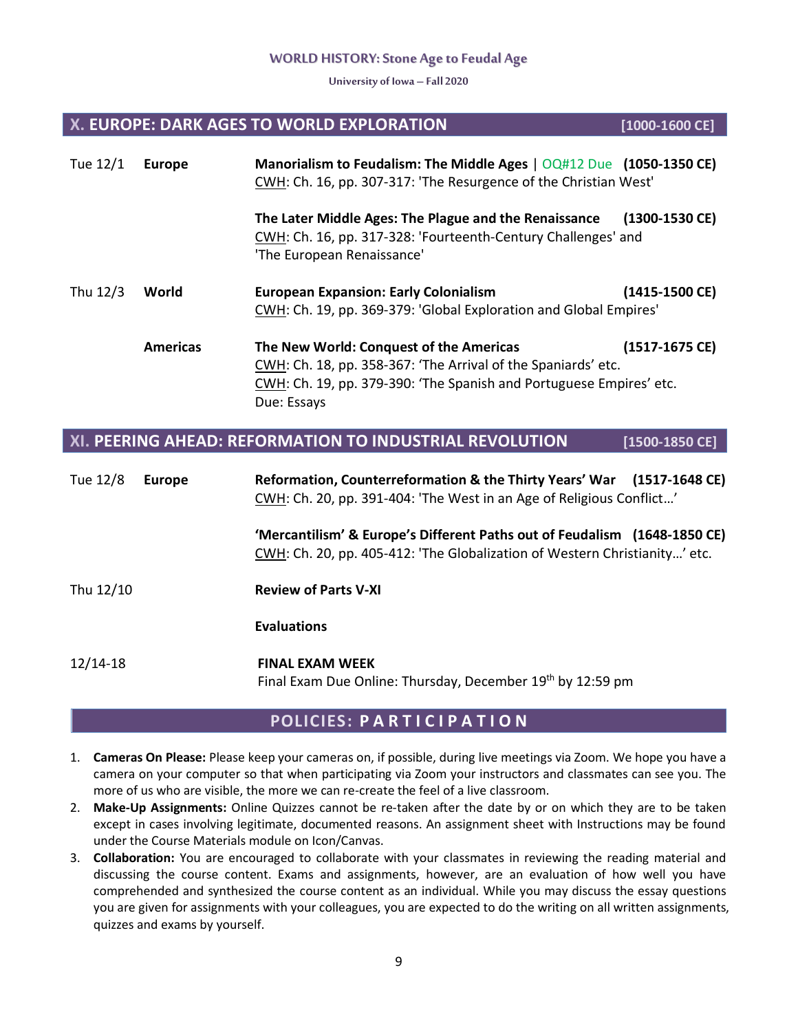**University of Iowa – Fall 2020**

# **X. EUROPE: DARK AGES TO WORLD EXPLORATION [1000-1600 CE]**

| Tue 12/1 | <b>Europe</b>                                                                                                              | Manorialism to Feudalism: The Middle Ages $\vert$ OQ#12 Due (1050-1350 CE)<br>CWH: Ch. 16, pp. 307-317: 'The Resurgence of the Christian West'                                                 |                  |  |
|----------|----------------------------------------------------------------------------------------------------------------------------|------------------------------------------------------------------------------------------------------------------------------------------------------------------------------------------------|------------------|--|
|          |                                                                                                                            | The Later Middle Ages: The Plague and the Renaissance<br>CWH: Ch. 16, pp. 317-328: 'Fourteenth-Century Challenges' and<br>'The European Renaissance'                                           | $(1300-1530$ CE) |  |
| Thu 12/3 | World<br><b>European Expansion: Early Colonialism</b><br>CWH: Ch. 19, pp. 369-379: 'Global Exploration and Global Empires' |                                                                                                                                                                                                | (1415-1500 CE)   |  |
|          | <b>Americas</b>                                                                                                            | The New World: Conquest of the Americas<br>CWH: Ch. 18, pp. 358-367: 'The Arrival of the Spaniards' etc.<br>CWH: Ch. 19, pp. 379-390: 'The Spanish and Portuguese Empires' etc.<br>Due: Essays | (1517-1675 CE)   |  |

# **XI. PEERING AHEAD: REFORMATION TO INDUSTRIAL REVOLUTION [1500-1850 CE]**

| Tue 12/8   | <b>Europe</b> | Reformation, Counterreformation & the Thirty Years' War (1517-1648 CE)<br>CWH: Ch. 20, pp. 391-404: 'The West in an Age of Religious Conflict'          |
|------------|---------------|---------------------------------------------------------------------------------------------------------------------------------------------------------|
|            |               | 'Mercantilism' & Europe's Different Paths out of Feudalism (1648-1850 CE)<br>CWH: Ch. 20, pp. 405-412: 'The Globalization of Western Christianity' etc. |
| Thu 12/10  |               | <b>Review of Parts V-XI</b>                                                                                                                             |
|            |               | <b>Evaluations</b>                                                                                                                                      |
| $12/14-18$ |               | <b>FINAL EXAM WEEK</b><br>Final Exam Due Online: Thursday, December 19th by 12:59 pm                                                                    |

# **POLICIES: P A R T I C I P A T I O N**

- 1. **Cameras On Please:** Please keep your cameras on, if possible, during live meetings via Zoom. We hope you have a camera on your computer so that when participating via Zoom your instructors and classmates can see you. The more of us who are visible, the more we can re-create the feel of a live classroom.
- 2. **Make-Up Assignments:** Online Quizzes cannot be re-taken after the date by or on which they are to be taken except in cases involving legitimate, documented reasons. An assignment sheet with Instructions may be found under the Course Materials module on Icon/Canvas.
- 3. **Collaboration:** You are encouraged to collaborate with your classmates in reviewing the reading material and discussing the course content. Exams and assignments, however, are an evaluation of how well you have comprehended and synthesized the course content as an individual. While you may discuss the essay questions you are given for assignments with your colleagues, you are expected to do the writing on all written assignments, quizzes and exams by yourself.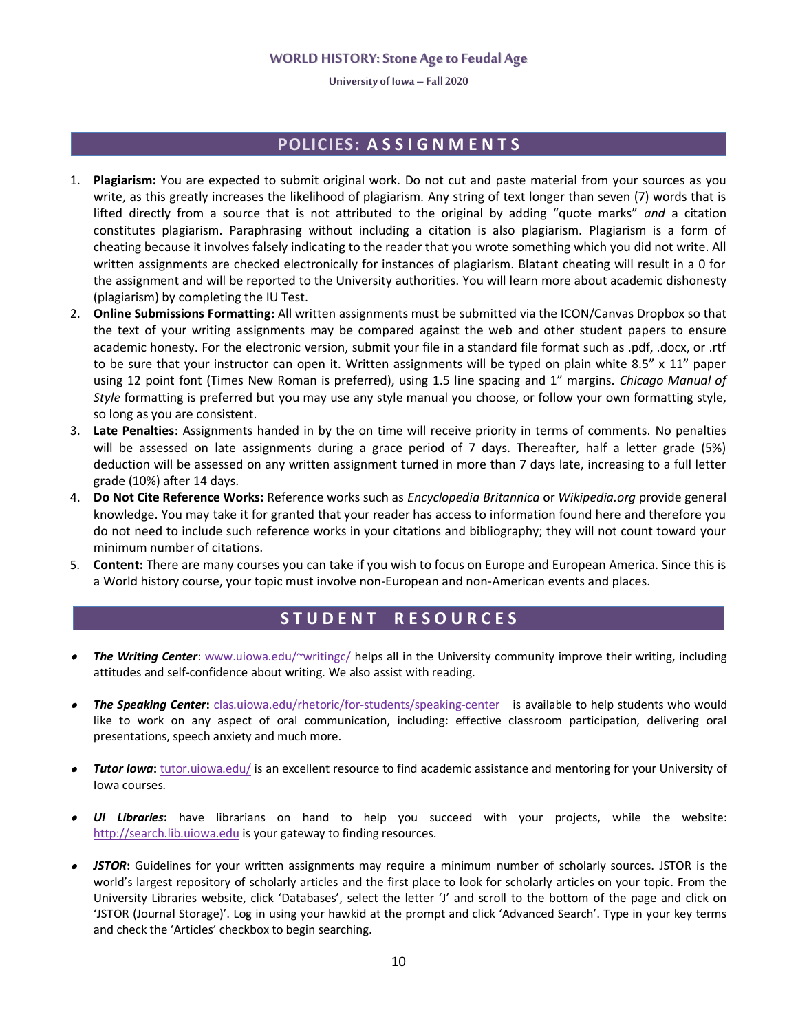**University of Iowa – Fall 2020**

# **POLICIES: A S S I G N M E N T S**

- 1. **Plagiarism:** You are expected to submit original work. Do not cut and paste material from your sources as you write, as this greatly increases the likelihood of plagiarism. Any string of text longer than seven (7) words that is lifted directly from a source that is not attributed to the original by adding "quote marks" *and* a citation constitutes plagiarism. Paraphrasing without including a citation is also plagiarism. Plagiarism is a form of cheating because it involves falsely indicating to the reader that you wrote something which you did not write. All written assignments are checked electronically for instances of plagiarism. Blatant cheating will result in a 0 for the assignment and will be reported to the University authorities. You will learn more about academic dishonesty (plagiarism) by completing the IU Test.
- 2. **Online Submissions Formatting:** All written assignments must be submitted via the ICON/Canvas Dropbox so that the text of your writing assignments may be compared against the web and other student papers to ensure academic honesty. For the electronic version, submit your file in a standard file format such as .pdf, .docx, or .rtf to be sure that your instructor can open it. Written assignments will be typed on plain white 8.5" x 11" paper using 12 point font (Times New Roman is preferred), using 1.5 line spacing and 1" margins. *Chicago Manual of Style* formatting is preferred but you may use any style manual you choose, or follow your own formatting style, so long as you are consistent.
- 3. **Late Penalties**: Assignments handed in by the on time will receive priority in terms of comments. No penalties will be assessed on late assignments during a grace period of 7 days. Thereafter, half a letter grade (5%) deduction will be assessed on any written assignment turned in more than 7 days late, increasing to a full letter grade (10%) after 14 days.
- 4. **Do Not Cite Reference Works:** Reference works such as *Encyclopedia Britannica* or *Wikipedia.org* provide general knowledge. You may take it for granted that your reader has access to information found here and therefore you do not need to include such reference works in your citations and bibliography; they will not count toward your minimum number of citations.
- 5. **Content:** There are many courses you can take if you wish to focus on Europe and European America. Since this is a World history course, your topic must involve non-European and non-American events and places.

# **S T U D E N T R E S O U R C E S**

- • *The Writing Center*: [www.uiowa.edu/~writingc/](http://www.uiowa.edu/~writingc/) helps all in the University community improve their writing, including attitudes and self-confidence about writing. We also assist with reading.
- • *The Speaking Center***:** [clas.uiowa.edu/rhetoric/for-students/speaking-center](http://clas.uiowa.edu/rhetoric/for-students/speaking-center) is available to help students who would like to work on any aspect of oral communication, including: effective classroom participation, delivering oral presentations, speech anxiety and much more.
- • *Tutor Iowa***:** [tutor.uiowa.edu/](http://tutor.uiowa.edu/) is an excellent resource to find academic assistance and mentoring for your University of Iowa courses.
- • *UI Libraries***:** have librarians on hand to help you succeed with your projects, while the website: [http://search.lib.uiowa.edu](http://search.lib.uiowa.edu/) is your gateway to finding resources.
- • *JSTOR***:** Guidelines for your written assignments may require a minimum number of scholarly sources. JSTOR is the world's largest repository of scholarly articles and the first place to look for scholarly articles on your topic. From the University Libraries website, click 'Databases', select the letter 'J' and scroll to the bottom of the page and click on 'JSTOR (Journal Storage)'. Log in using your hawkid at the prompt and click 'Advanced Search'. Type in your key terms and check the 'Articles' checkbox to begin searching.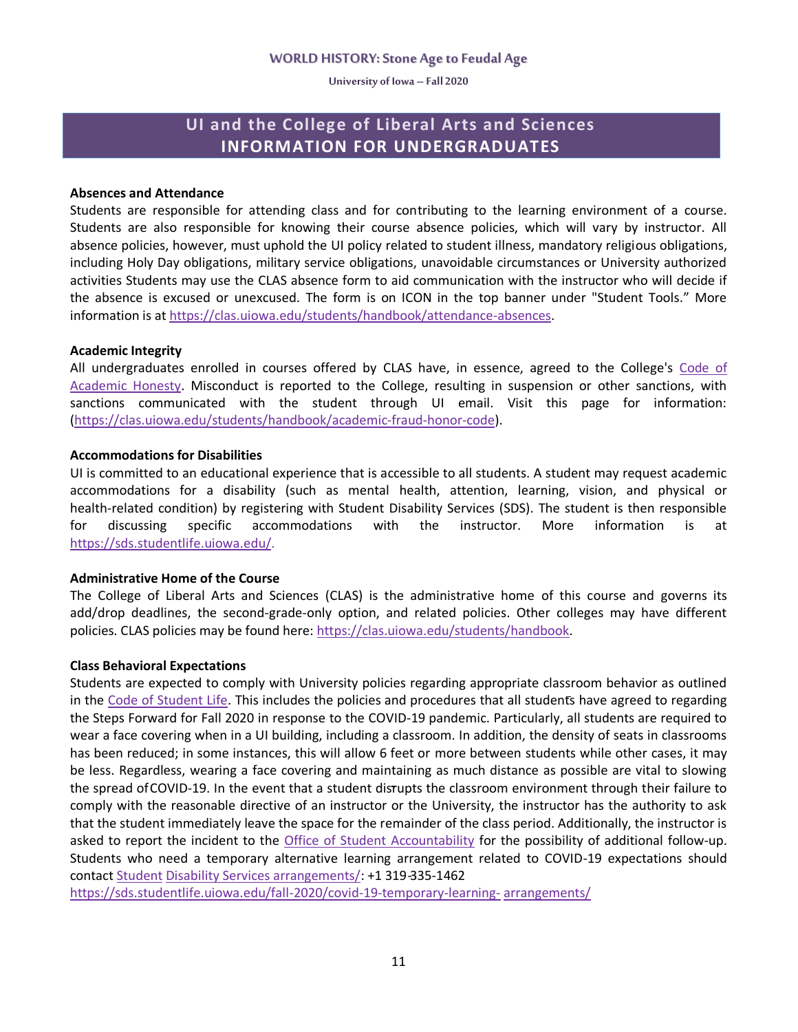**University of Iowa – Fall 2020**

# **UI and the College of Liberal Arts and Sciences INFORMATION FOR UNDERGRADUATES**

#### **Absences and Attendance**

Students are responsible for attending class and for contributing to the learning environment of a course. Students are also responsible for knowing their course absence policies, which will vary by instructor. All absence policies, however, must uphold the UI policy related to student illness, mandatory religious obligations, including Holy Day obligations, military service obligations, unavoidable circumstances or University authorized activities Students may use the CLAS absence form to aid communication with the instructor who will decide if the absence is excused or unexcused. The form is on ICON in the top banner under "Student Tools." More information is at https://clas.uiowa.edu/students/handbook/attendance-absences.

#### **Academic Integrity**

All undergraduates enrolled in courses offered by CLAS have, in essence, agreed to the College's Code of Academic Honesty. Misconduct is reported to the College, resulting in suspension or other sanctions, with sanctions communicated with the student through UI email. Visit this page for information: (https://clas.uiowa.edu/students/handbook/academic-fraud-honor-code).

#### **Accommodations for Disabilities**

UI is committed to an educational experience that is accessible to all students. A student may request academic accommodations for a disability (such as mental health, attention, learning, vision, and physical or health-related condition) by registering with Student Disability Services (SDS). The student is then responsible for discussing specific accommodations with the instructor. More information is at https://sds.studentlife.uiowa.edu/.

#### **Administrative Home of the Course**

The College of Liberal Arts and Sciences (CLAS) is the administrative home of this course and governs its add/drop deadlines, the second-grade-only option, and related policies. Other colleges may have different policies. CLAS policies may be found here: https://clas.uiowa.edu/students/handbook.

#### **Class Behavioral Expectations**

Students are expected to comply with University policies regarding appropriate classroom behavior as outlined in the Code of Student Life. This includes the policies and procedures that all students have agreed to regarding the Steps Forward for Fall 2020 in response to the COVID-19 pandemic. Particularly, all students are required to wear a face covering when in a UI building, including a classroom. In addition, the density of seats in classrooms has been reduced; in some instances, this will allow 6 feet or more between students while other cases, it may be less. Regardless, wearing a face covering and maintaining as much distance as possible are vital to slowing the spread ofCOVID-19. In the event that a student disrupts the classroom environment through their failure to comply with the reasonable directive of an instructor or the University, the instructor has the authority to ask that the student immediately leave the space for the remainder of the class period. Additionally, the instructor is asked to report the incident to the Office of Student Accountability for the possibility of additional follow-up. Students who need a temporary alternative learning arrangement related to COVID-19 expectations should contact Student Disability Services arrangements/: +1 319-335-1462

https://sds.studentlife.uiowa.edu/fall-2020/covid-19-temporary-learning- arrangements/